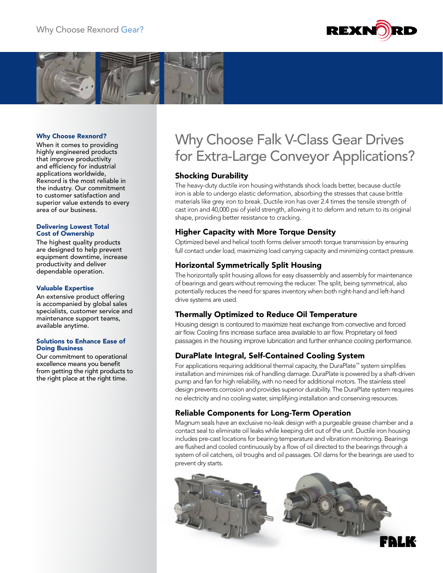



#### Why Choose Rexnord?

When it comes to providing highly engineered products that improve productivity and efficiency for industrial applications worldwide, Rexnord is the most reliable in the industry. Our commitment to customer satisfaction and superior value extends to every area of our business.

#### Delivering Lowest Total Cost of Ownership

The highest quality products are designed to help prevent equipment downtime, increase productivity and deliver dependable operation.

#### Valuable Expertise

An extensive product offering is accompanied by global sales specialists, customer service and maintenance support teams, available anytime.

#### Solutions to Enhance Ease of Doing Business

Our commitment to operational excellence means you benefit from getting the right products to the right place at the right time.

# Why Choose Falk V-Class Gear Drives for Extra-Large Conveyor Applications?

## Shocking Durability

The heavy-duty ductile iron housing withstands shock loads better, because ductile iron is able to undergo elastic deformation, absorbing the stresses that cause brittle materials like grey iron to break. Ductile iron has over 2.4 times the tensile strength of cast iron and 40,000 psi of yield strength, allowing it to deform and return to its original shape, providing better resistance to cracking.

## Higher Capacity with More Torque Density

Optimized bevel and helical tooth forms deliver smooth torque transmission by ensuring full contact under load, maximizing load carrying capacity and minimizing contact pressure.

## Horizontal Symmetrically Split Housing

The horizontally split housing allows for easy disassembly and assembly for maintenance of bearings and gears without removing the reducer. The split, being symmetrical, also potentially reduces the need for spares inventory when both right-hand and left-hand drive systems are used.

## Thermally Optimized to Reduce Oil Temperature

Housing design is contoured to maximize heat exchange from convective and forced air flow. Cooling fins increase surface area available to air flow. Proprietary oil feed passages in the housing improve lubrication and further enhance cooling performance.

## DuraPlate Integral, Self-Contained Cooling System

For applications requiring additional thermal capacity, the DuraPlate™ system simplifies installation and minimizes risk of handling damage. DuraPlate is powered by a shaft-driven pump and fan for high reliability, with no need for additional motors. The stainless steel design prevents corrosion and provides superior durability. The DuraPlate system requires no electricity and no cooling water, simplifying installation and conserving resources.

## Reliable Components for Long-Term Operation

Magnum seals have an exclusive no-leak design with a purgeable grease chamber and a contact seal to eliminate oil leaks while keeping dirt out of the unit. Ductile iron housing includes pre-cast locations for bearing temperature and vibration monitoring. Bearings are flushed and cooled continuously by a flow of oil directed to the bearings through a system of oil catchers, oil troughs and oil passages. Oil dams for the bearings are used to prevent dry starts.